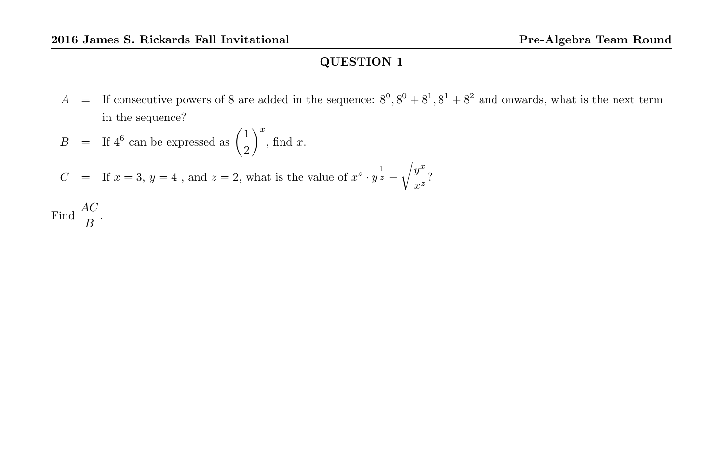A = If consecutive powers of 8 are added in the sequence:  $8^0$ ,  $8^0 + 8^1$ ,  $8^1 + 8^2$  and onwards, what is the next term in the sequence?

$$
B = \text{If } 4^6 \text{ can be expressed as } \left(\frac{1}{2}\right)^x, \text{ find } x.
$$
  

$$
C = \text{If } x = 3, y = 4, \text{ and } z = 2, \text{ what is the value of } x^z \cdot y^{\frac{1}{z}} - \sqrt{\frac{y^x}{x^z}}?
$$
  
Find  $\frac{AC}{B}$ .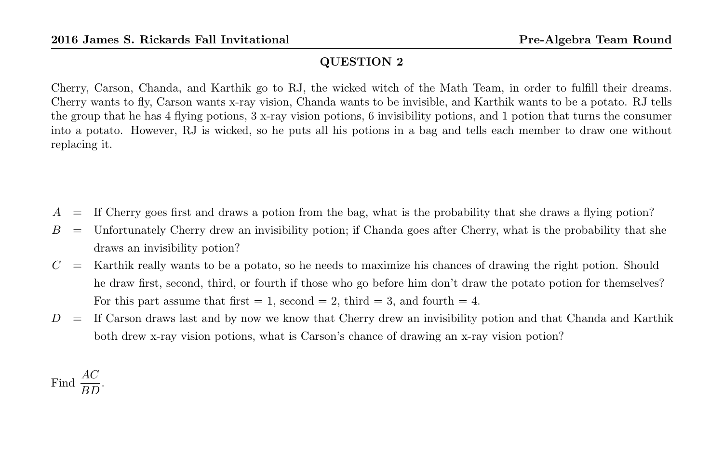Cherry, Carson, Chanda, and Karthik go to RJ, the wicked witch of the Math Team, in order to fulfill their dreams. Cherry wants to fly, Carson wants x-ray vision, Chanda wants to be invisible, and Karthik wants to be a potato. RJ tells the group that he has 4 flying potions, 3 x-ray vision potions, 6 invisibility potions, and 1 potion that turns the consumer into a potato. However, RJ is wicked, so he puts all his potions in a bag and tells each member to draw one without replacing it.

- $A =$  If Cherry goes first and draws a potion from the bag, what is the probability that she draws a flying potion?
- $B =$  Unfortunately Cherry drew an invisibility potion; if Chanda goes after Cherry, what is the probability that she draws an invisibility potion?
- $C =$  Karthik really wants to be a potato, so he needs to maximize his chances of drawing the right potion. Should he draw first, second, third, or fourth if those who go before him don't draw the potato potion for themselves? For this part assume that first  $= 1$ , second  $= 2$ , third  $= 3$ , and fourth  $= 4$ .
- $D =$  If Carson draws last and by now we know that Cherry drew an invisibility potion and that Chanda and Karthik both drew x-ray vision potions, what is Carson's chance of drawing an x-ray vision potion?

Find 
$$
\frac{AC}{BD}
$$
.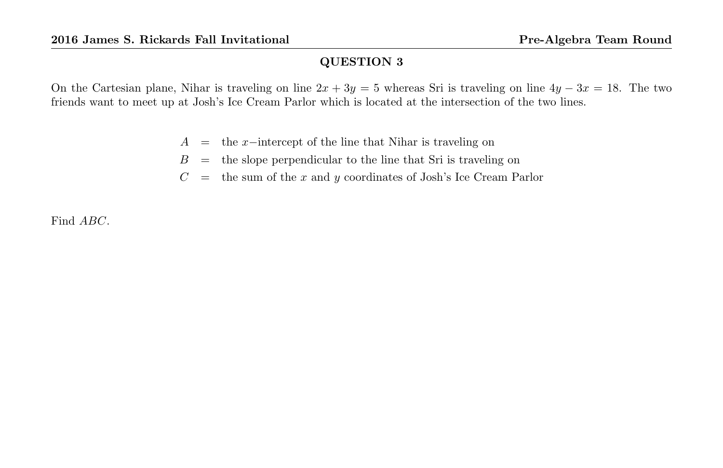On the Cartesian plane, Nihar is traveling on line  $2x + 3y = 5$  whereas Sri is traveling on line  $4y - 3x = 18$ . The two friends want to meet up at Josh's Ice Cream Parlor which is located at the intersection of the two lines.

- $A =$  the x−intercept of the line that Nihar is traveling on
- $B =$  the slope perpendicular to the line that Sri is traveling on
- $C =$  the sum of the x and y coordinates of Josh's Ice Cream Parlor

Find ABC.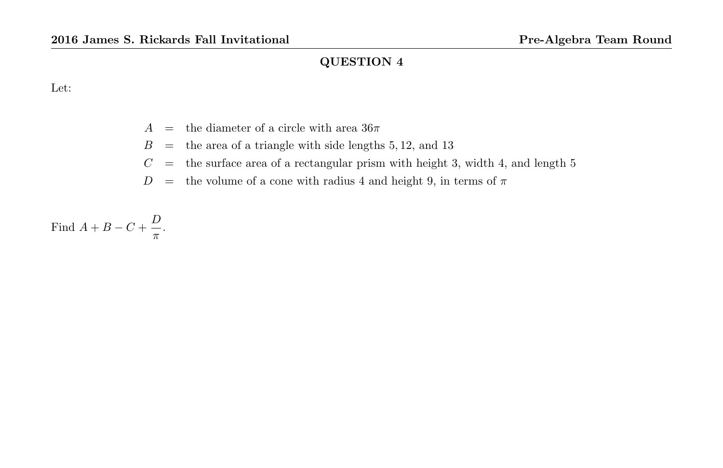Let:

- $A =$  the diameter of a circle with area  $36\pi$
- $B =$  the area of a triangle with side lengths 5, 12, and 13
- $C =$  the surface area of a rectangular prism with height 3, width 4, and length 5
- $D =$  the volume of a cone with radius 4 and height 9, in terms of  $\pi$

Find  $A + B - C + \frac{D}{A}$  $\frac{\nu}{\pi}$ .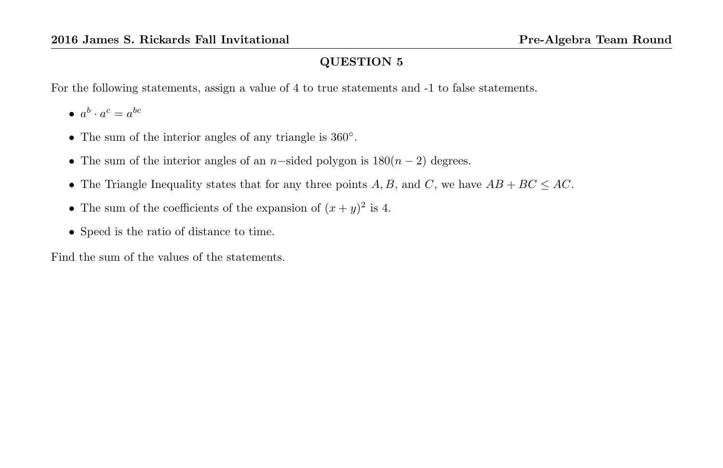For the following statements, assign a value of 4 to true statements and -1 to false statements.

•  $a^b \cdot a^c = a^{bc}$ 

- The sum of the interior angles of any triangle is 360°.
- The sum of the interior angles of an n-sided polygon is  $180(n-2)$  degrees.
- The Triangle Inequality states that for any three points  $A, B$ , and  $C$ , we have  $AB + BC \le AC$ .
- The sum of the coefficients of the expansion of  $(x+y)^2$  is 4.
- Speed is the ratio of distance to time.

Find the sum of the values of the statements.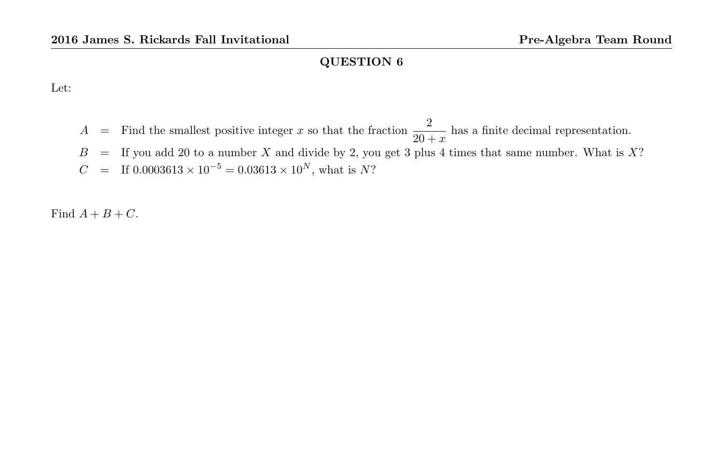Let:

A = Find the smallest positive integer x so that the fraction  $\frac{2}{20+x}$  has a finite decimal representation.  $B =$  If you add 20 to a number X and divide by 2, you get 3 plus 4 times that same number. What is X?  $C = \text{If } 0.0003613 \times 10^{-5} = 0.03613 \times 10^{N}$ , what is N?

Find  $A + B + C$ .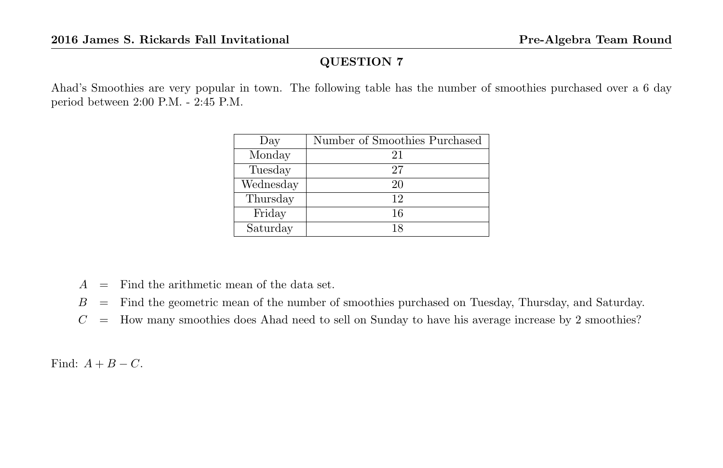Ahad's Smoothies are very popular in town. The following table has the number of smoothies purchased over a 6 day period between 2:00 P.M. - 2:45 P.M.

| Day       | Number of Smoothies Purchased |
|-----------|-------------------------------|
| Monday    | 21                            |
| Tuesday   | 27                            |
| Wednesday | 20                            |
| Thursday  | 12                            |
| Friday    | 16                            |
| Saturday  | 18                            |

- $A =$  Find the arithmetic mean of the data set.
- $B =$  Find the geometric mean of the number of smoothies purchased on Tuesday, Thursday, and Saturday.
- $C =$  How many smoothies does Ahad need to sell on Sunday to have his average increase by 2 smoothies?

Find:  $A + B - C$ .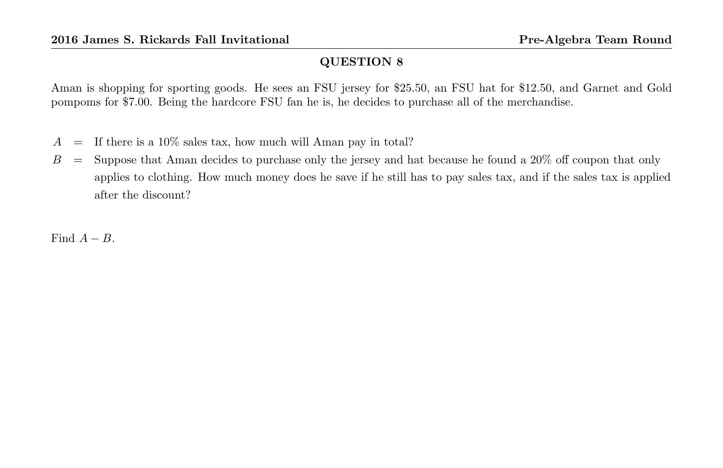Aman is shopping for sporting goods. He sees an FSU jersey for \$25.50, an FSU hat for \$12.50, and Garnet and Gold pompoms for \$7.00. Being the hardcore FSU fan he is, he decides to purchase all of the merchandise.

- $A =$  If there is a 10% sales tax, how much will Aman pay in total?
- $B =$  Suppose that Aman decides to purchase only the jersey and hat because he found a 20% off coupon that only applies to clothing. How much money does he save if he still has to pay sales tax, and if the sales tax is applied after the discount?

Find  $A - B$ .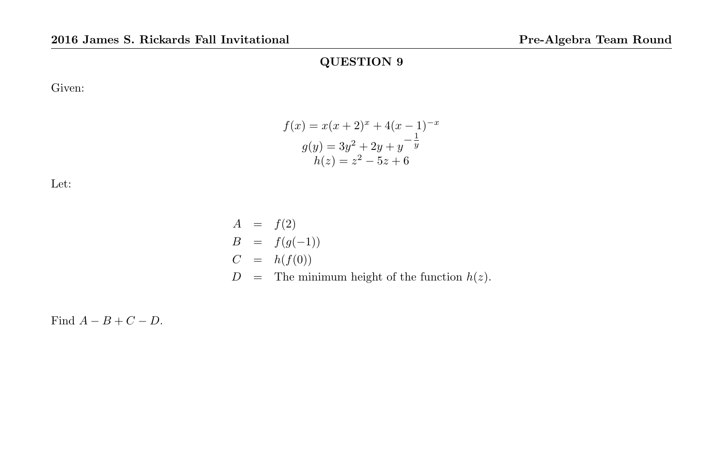Given:

Let:



$$
A = f(2)
$$
  
\n
$$
B = f(g(-1))
$$
  
\n
$$
C = h(f(0))
$$
  
\n
$$
D = \text{The minimum height of the function } h(z).
$$

Find  $A - B + C - D$ .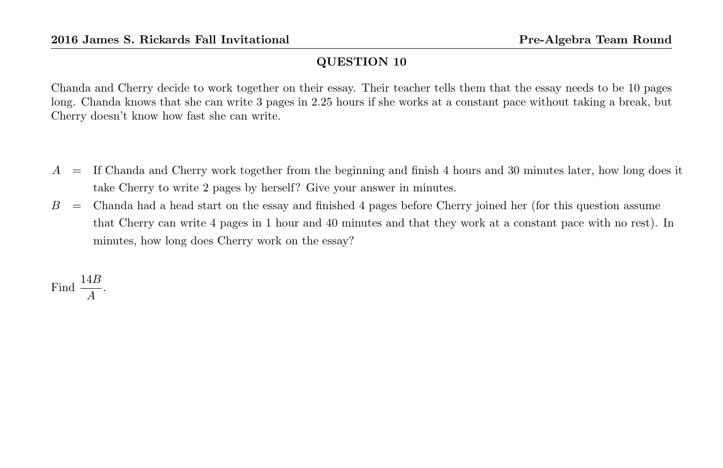Chanda and Cherry decide to work together on their essay. Their teacher tells them that the essay needs to be 10 pages long. Chanda knows that she can write 3 pages in 2.25 hours if she works at a constant pace without taking a break, but Cherry doesn't know how fast she can write.

- $A =$  If Chanda and Cherry work together from the beginning and finish 4 hours and 30 minutes later, how long does it take Cherry to write 2 pages by herself? Give your answer in minutes.
- $B =$  Chanda had a head start on the essay and finished 4 pages before Cherry joined her (for this question assume that Cherry can write 4 pages in 1 hour and 40 minutes and that they work at a constant pace with no rest). In minutes, how long does Cherry work on the essay?

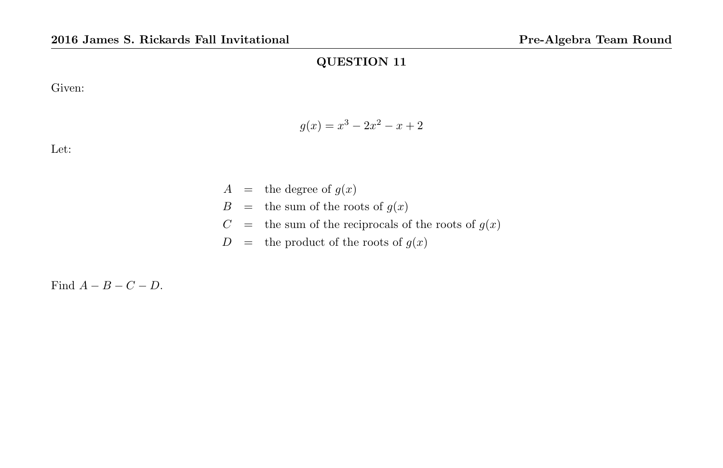Given:

$$
g(x) = x^3 - 2x^2 - x + 2
$$

Let:

 $A =$  the degree of  $g(x)$  $B =$  the sum of the roots of  $g(x)$  $C =$  the sum of the reciprocals of the roots of  $g(x)$  $D =$  the product of the roots of  $g(x)$ 

Find  $A - B - C - D$ .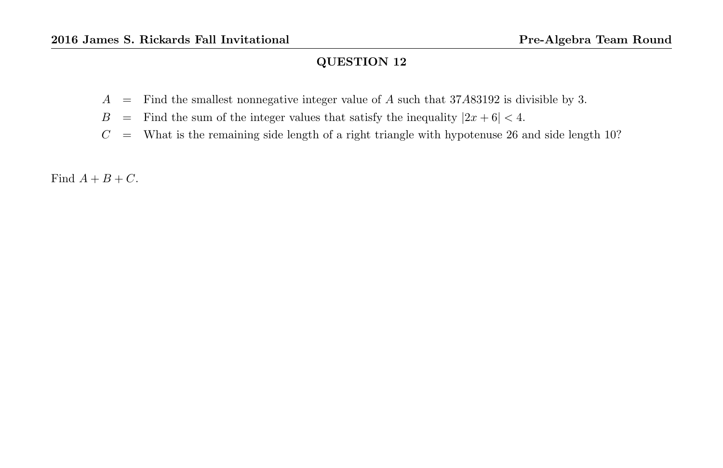- $A =$  Find the smallest nonnegative integer value of A such that 37A83192 is divisible by 3.
- $B =$  Find the sum of the integer values that satisfy the inequality  $|2x + 6| < 4$ .
- $C =$  What is the remaining side length of a right triangle with hypotenuse 26 and side length 10?

Find  $A + B + C$ .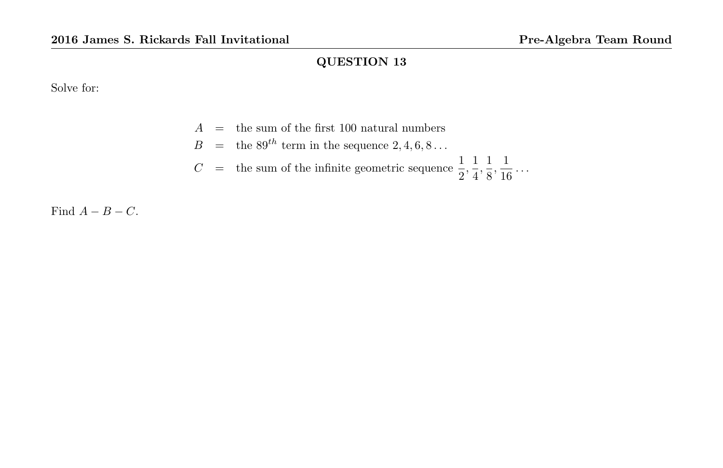Solve for:

|  | $A =$ the sum of the first 100 natural numbers                                                                |
|--|---------------------------------------------------------------------------------------------------------------|
|  | $B =$ the $89^{th}$ term in the sequence 2, 4, 6, 8                                                           |
|  | $C =$ the sum of the infinite geometric sequence $\frac{1}{2}, \frac{1}{4}, \frac{1}{8}, \frac{1}{16} \ldots$ |

Find  $A - B - C$ .